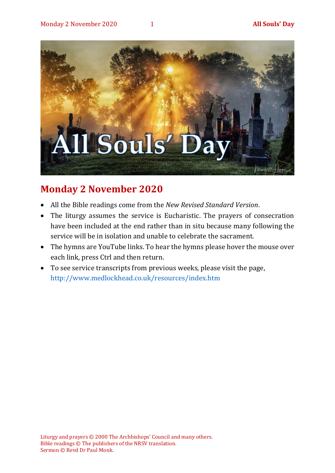

# **Monday 2 November 2020**

- All the Bible readings come from the *New Revised Standard Version*.
- The liturgy assumes the service is Eucharistic. The prayers of consecration have been included at the end rather than in situ because many following the service will be in isolation and unable to celebrate the sacrament.
- The hymns are YouTube links. To hear the hymns please hover the mouse over each link, press Ctrl and then return.
- To see service transcripts from previous weeks, please visit the page, <http://www.medlockhead.co.uk/resources/index.htm>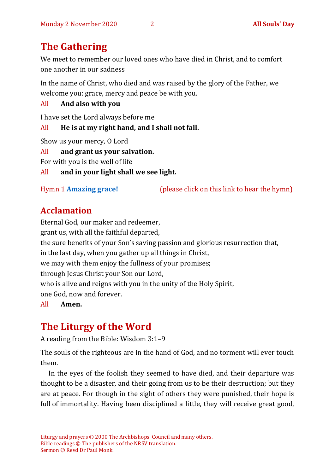# **The Gathering**

We meet to remember our loved ones who have died in Christ, and to comfort one another in our sadness

In the name of Christ, who died and was raised by the glory of the Father, we welcome you: grace, mercy and peace be with you.

All **And also with you** 

I have set the Lord always before me

All **He is at my right hand, and I shall not fall.**

Show us your mercy, O Lord

All **and grant us your salvation.**

For with you is the well of life

All **and in your light shall we see light.**

Hymn 1 **[Amazing grace!](https://www.youtube.com/watch?v=CDdvReNKKuk)** (please click on this link to hear the hymn)

# **Acclamation**

Eternal God, our maker and redeemer, grant us, with all the faithful departed, the sure benefits of your Son's saving passion and glorious resurrection that, in the last day, when you gather up all things in Christ, we may with them enjoy the fullness of your promises; through Jesus Christ your Son our Lord, who is alive and reigns with you in the unity of the Holy Spirit, one God, now and forever.

All **Amen.**

# **The Liturgy of the Word**

A reading from the Bible: Wisdom 3:1–9

The souls of the righteous are in the hand of God, and no torment will ever touch them.

In the eyes of the foolish they seemed to have died, and their departure was thought to be a disaster, and their going from us to be their destruction; but they are at peace. For though in the sight of others they were punished, their hope is full of immortality. Having been disciplined a little, they will receive great good,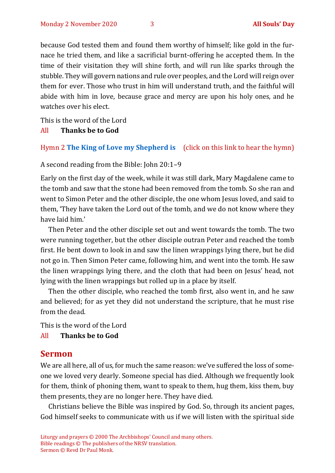because God tested them and found them worthy of himself; like gold in the furnace he tried them, and like a sacrificial burnt-offering he accepted them. In the time of their visitation they will shine forth, and will run like sparks through the stubble. They will govern nations and rule over peoples, and the Lord will reign over them for ever. Those who trust in him will understand truth, and the faithful will abide with him in love, because grace and mercy are upon his holy ones, and he watches over his elect.

This is the word of the Lord

#### All **Thanks be to God**

#### Hymn 2 **[The King of Love my Shepherd](https://www.youtube.com/watch?v=b3GFVW6m9Qo) is** (click on this link to hear the hymn)

A second reading from the Bible: John 20:1–9

Early on the first day of the week, while it was still dark, Mary Magdalene came to the tomb and saw that the stone had been removed from the tomb. So she ran and went to Simon Peter and the other disciple, the one whom Jesus loved, and said to them, 'They have taken the Lord out of the tomb, and we do not know where they have laid him.'

Then Peter and the other disciple set out and went towards the tomb. The two were running together, but the other disciple outran Peter and reached the tomb first. He bent down to look in and saw the linen wrappings lying there, but he did not go in. Then Simon Peter came, following him, and went into the tomb. He saw the linen wrappings lying there, and the cloth that had been on Jesus' head, not lying with the linen wrappings but rolled up in a place by itself.

Then the other disciple, who reached the tomb first, also went in, and he saw and believed; for as yet they did not understand the scripture, that he must rise from the dead.

This is the word of the Lord

#### All **Thanks be to God**

#### **Sermon**

We are all here, all of us, for much the same reason: we've suffered the loss of someone we loved very dearly. Someone special has died. Although we frequently look for them, think of phoning them, want to speak to them, hug them, kiss them, buy them presents, they are no longer here. They have died.

Christians believe the Bible was inspired by God. So, through its ancient pages, God himself seeks to communicate with us if we will listen with the spiritual side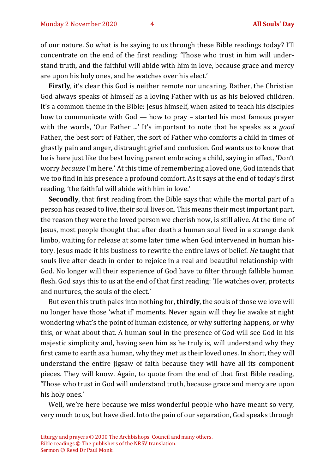of our nature. So what is he saying to us through these Bible readings today? I'll concentrate on the end of the first reading: 'Those who trust in him will understand truth, and the faithful will abide with him in love, because grace and mercy are upon his holy ones, and he watches over his elect.'

**Firstly**, it's clear this God is neither remote nor uncaring. Rather, the Christian God always speaks of himself as a loving Father with us as his beloved children. It's a common theme in the Bible: Jesus himself, when asked to teach his disciples how to communicate with God — how to pray – started his most famous prayer with the words, 'Our Father ...' It's important to note that he speaks as a *good* Father, the best sort of Father, the sort of Father who comforts a child in times of ghastly pain and anger, distraught grief and confusion. God wants us to know that he is here just like the best loving parent embracing a child, saying in effect, 'Don't worry *because* I'm here.' At this time of remembering a loved one, God intends that we too find in his presence a profound comfort. As it says at the end of today's first reading, 'the faithful will abide with him in love.'

**Secondly**, that first reading from the Bible says that while the mortal part of a person has ceased to live, their soul lives on. This means their most important part, the reason they were the loved person we cherish now, is still alive. At the time of Jesus, most people thought that after death a human soul lived in a strange dank limbo, waiting for release at some later time when God intervened in human history. Jesus made it his business to rewrite the entire laws of belief. *He* taught that souls live after death in order to rejoice in a real and beautiful relationship with God. No longer will their experience of God have to filter through fallible human flesh. God says this to us at the end of that first reading: 'He watches over, protects and nurtures, the souls of the elect.'

But even this truth pales into nothing for, **thirdly**, the souls of those we love will no longer have those 'what if' moments. Never again will they lie awake at night wondering what's the point of human existence, or why suffering happens, or why this, or what about that. A human soul in the presence of God will see God in his majestic simplicity and, having seen him as he truly is, will understand why they first came to earth as a human, why they met us their loved ones. In short, they will understand the entire jigsaw of faith because they will have all its component pieces. They will know. Again, to quote from the end of that first Bible reading, 'Those who trust in God will understand truth, because grace and mercy are upon his holy ones.'

Well, we're here because we miss wonderful people who have meant so very, very much to us, but have died. Into the pain of our separation, God speaks through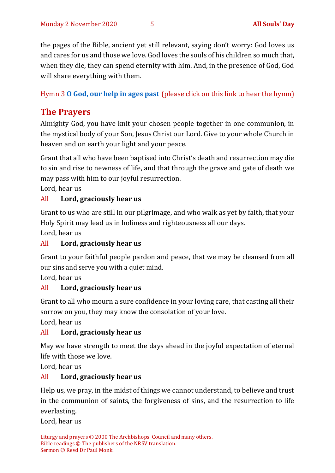the pages of the Bible, ancient yet still relevant, saying don't worry: God loves us and cares for us and those we love. God loves the souls of his children so much that, when they die, they can spend eternity with him. And, in the presence of God, God will share everything with them.

Hymn 3 **[O God, our help in ages past](https://www.youtube.com/watch?v=ZjdmLstpNGE)** (please click on this link to hear the hymn)

## **The Prayers**

Almighty God, you have knit your chosen people together in one communion, in the mystical body of your Son, Jesus Christ our Lord. Give to your whole Church in heaven and on earth your light and your peace.

Grant that all who have been baptised into Christ's death and resurrection may die to sin and rise to newness of life, and that through the grave and gate of death we may pass with him to our joyful resurrection.

Lord, hear us

#### All **Lord, graciously hear us**

Grant to us who are still in our pilgrimage, and who walk as yet by faith, that your Holy Spirit may lead us in holiness and righteousness all our days.

Lord, hear us

#### All **Lord, graciously hear us**

Grant to your faithful people pardon and peace, that we may be cleansed from all our sins and serve you with a quiet mind.

Lord, hear us

### All **Lord, graciously hear us**

Grant to all who mourn a sure confidence in your loving care, that casting all their sorrow on you, they may know the consolation of your love.

Lord, hear us

### All **Lord, graciously hear us**

May we have strength to meet the days ahead in the joyful expectation of eternal life with those we love.

Lord, hear us

#### All **Lord, graciously hear us**

Help us, we pray, in the midst of things we cannot understand, to believe and trust in the communion of saints, the forgiveness of sins, and the resurrection to life everlasting.

Lord, hear us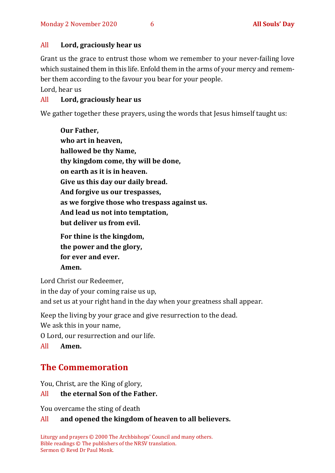#### All **Lord, graciously hear us**

Grant us the grace to entrust those whom we remember to your never-failing love which sustained them in this life. Enfold them in the arms of your mercy and remember them according to the favour you bear for your people.

Lord, hear us

#### All **Lord, graciously hear us**

We gather together these prayers, using the words that Jesus himself taught us:

**Our Father, who art in heaven, hallowed be thy Name, thy kingdom come, thy will be done, on earth as it is in heaven. Give us this day our daily bread. And forgive us our trespasses, as we forgive those who trespass against us. And lead us not into temptation, but deliver us from evil. For thine is the kingdom, the power and the glory, for ever and ever.** 

**Amen.**

Lord Christ our Redeemer, in the day of your coming raise us up, and set us at your right hand in the day when your greatness shall appear.

Keep the living by your grace and give resurrection to the dead.

We ask this in your name,

O Lord, our resurrection and our life.

All **Amen.**

## **The Commemoration**

You, Christ, are the King of glory,

#### All **the eternal Son of the Father.**

You overcame the sting of death

#### All **and opened the kingdom of heaven to all believers.**

Liturgy and prayers © 2000 The Archbishops' Council and many others. Bible readings © The publishers of the NRSV translation. Sermon © Revd Dr Paul Monk.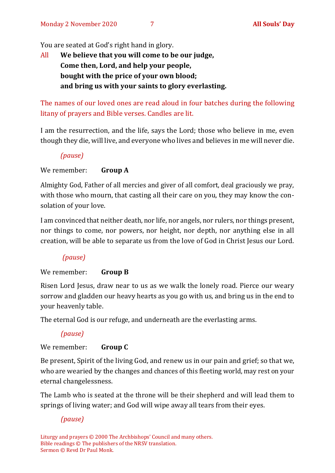You are seated at God's right hand in glory.

All **We believe that you will come to be our judge, Come then, Lord, and help your people, bought with the price of your own blood; and bring us with your saints to glory everlasting.**

The names of our loved ones are read aloud in four batches during the following litany of prayers and Bible verses. Candles are lit.

I am the resurrection, and the life, says the Lord; those who believe in me, even though they die, will live, and everyone who lives and believes in me will never die.

*(pause)*

We remember: **Group A**

Almighty God, Father of all mercies and giver of all comfort, deal graciously we pray, with those who mourn, that casting all their care on you, they may know the consolation of your love.

I am convinced that neither death, nor life, nor angels, nor rulers, nor things present, nor things to come, nor powers, nor height, nor depth, nor anything else in all creation, will be able to separate us from the love of God in Christ Jesus our Lord.

#### *(pause)*

#### We remember: **Group B**

Risen Lord Jesus, draw near to us as we walk the lonely road. Pierce our weary sorrow and gladden our heavy hearts as you go with us, and bring us in the end to your heavenly table.

The eternal God is our refuge, and underneath are the everlasting arms.

#### *(pause)*

#### We remember: **Group C**

Be present, Spirit of the living God, and renew us in our pain and grief; so that we, who are wearied by the changes and chances of this fleeting world, may rest on your eternal changelessness.

The Lamb who is seated at the throne will be their shepherd and will lead them to springs of living water; and God will wipe away all tears from their eyes.

*(pause)*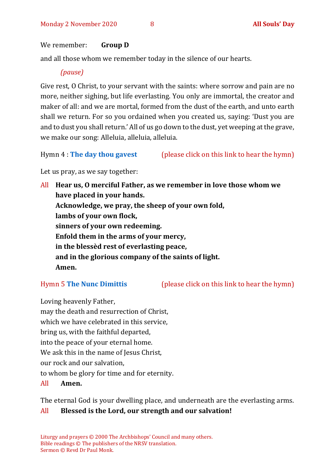#### We remember: **Group D**

and all those whom we remember today in the silence of our hearts.

#### *(pause)*

Give rest, O Christ, to your servant with the saints: where sorrow and pain are no more, neither sighing, but life everlasting. You only are immortal, the creator and maker of all: and we are mortal, formed from the dust of the earth, and unto earth shall we return. For so you ordained when you created us, saying: 'Dust you are and to dust you shall return.' All of us go down to the dust, yet weeping at the grave, we make our song: Alleluia, alleluia, alleluia.

Hymn 4 : **[The day thou gavest](https://www.youtube.com/watch?v=eeC6M_RD3oE)** (please click on this link to hear the hymn)

Let us pray, as we say together:

All **Hear us, O merciful Father, as we remember in love those whom we have placed in your hands. Acknowledge, we pray, the sheep of your own fold, lambs of your own flock, sinners of your own redeeming. Enfold them in the arms of your mercy, in the blessèd rest of everlasting peace, and in the glorious company of the saints of light. Amen.**

Hymn 5 **[The Nunc Dimittis](https://www.youtube.com/watch?v=RqpIN73xjow)** (please click on this link to hear the hymn)

Loving heavenly Father, may the death and resurrection of Christ, which we have celebrated in this service, bring us, with the faithful departed, into the peace of your eternal home. We ask this in the name of Jesus Christ, our rock and our salvation, to whom be glory for time and for eternity. All **Amen.**

The eternal God is your dwelling place, and underneath are the everlasting arms.

#### All **Blessed is the Lord, our strength and our salvation!**